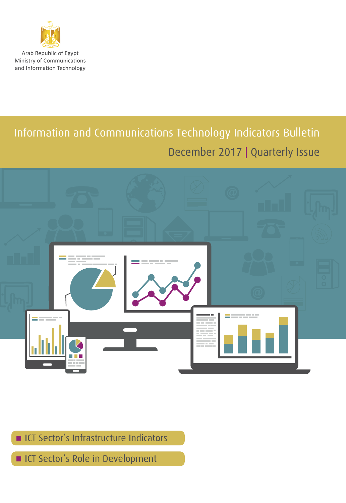

Arab Republic of Egypt Ministry of Communications and Information Technology

# Information and Communications Technology Indicators Bulletin December 2017 | Quarterly Issue



ICT Sector's Infrastructure Indicators

ICT Sector's Role in Development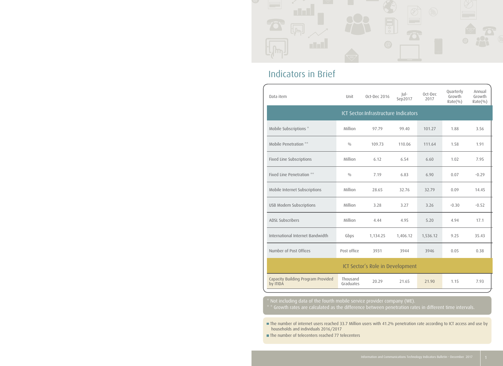

## Indicators in Brief

| Data item                                      | Unit                  | Oct-Dec 2016                         | $ U $ -<br>Sep2017 | Oct-Dec<br>2017 | Quarterly<br>Growth<br>Rate(%) | Annual<br>Growth<br>$Rate$ %) |
|------------------------------------------------|-----------------------|--------------------------------------|--------------------|-----------------|--------------------------------|-------------------------------|
|                                                |                       | ICT Sector:Infrastructure Indicators |                    |                 |                                |                               |
| Mobile Subscriptions *                         | Million               | 97.79                                | 99.40              | 101.27          | 1.88                           | 3.56                          |
| Mobile Penetration **                          | 0/0                   | 109.73                               | 110.06             | 111.64          | 1.58                           | 1.91                          |
| Fixed Line Subscriptions                       | Million               | 6.12                                 | 6.54               | 6.60            | 1.02                           | 7.95                          |
| Fixed Line Penetration **                      | 0/0                   | 7.19                                 | 6.83               | 6.90            | 0.07                           | $-0.29$                       |
| Mobile Internet Subscriptions                  | Million               | 28.65                                | 32.76              | 32.79           | 0.09                           | 14.45                         |
| USB Modem Subscriptions                        | Million               | 3.28                                 | 3.27               | 3.26            | $-0.30$                        | $-0.52$                       |
| <b>ADSL Subscribers</b>                        | Million               | 4.44                                 | 4.95               | 5.20            | 4.94                           | 17.1                          |
| International Internet Bandwidth               | Gbps                  | 1,134.25                             | 1,406.12           | 1,536.12        | 9.25                           | 35.43                         |
| Number of Post Offices                         | Post office           | 3931                                 | 3944               | 3946            | 0.05                           | 0.38                          |
|                                                |                       | ICT Sector's Role in Development     |                    |                 |                                |                               |
| Capacity Building Program Provided<br>by ITIDA | Thousand<br>Graduates | 20.29                                | 21.65              | 21.90           | 1.15                           | 7.93                          |

The number of internet users reached 33.7 Million users with 41.2% penetration rate according to ICT access and use by households and individuals 2016/2017

The number of telecenters reached 77 telecenters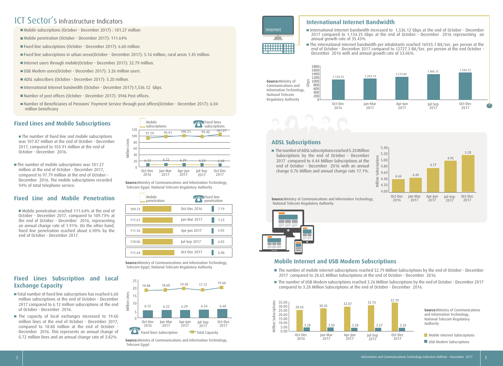## ICT Sector's Infrastructure Indicators

- Mobile subscriptions (October December 2017) : 101.27 million
- Mobile penetration (October December 2017): 111.64%
- Fixed line subscriptions (October December 2017): 6.60 million
- Fixed line subscriptions in urban areas(October December 2017): 5.16 million, rural areas 1.45 million.
- Internet users through mobile(October December 2017): 32.79 million.
- USB Modem users(October December 2017): 3.26 million users.
- ADSL subscribers (October December 2017): 5.20 million.
- International Internet bandwidth (October December 2017):1,536.12 Gbps.
- Number of post offices (October December 2017): 3946 Post offices.
- Number of Beneficiaries of Pensions' Payment Service through post offices(October December 2017): 6.04 million beneficiary

### **Fixed Lines and Mobile Subscriptions**

- The number of fixed line and mobile subscriptions was 107.87 million at the end of October - December 2017, compared to 103.91 million at the end of October - December 2016.
- The number of mobile subscriptions was 101.27 million at the end of October - December 2017, compared to 97.79 million at the end of October - December 2016. The mobile subscriptions recorded 94% of total telephone service.

### **Fixed Line and Mobile Penetration**

 Mobile penetration reached 111.64% at the end of October - December 2017, compared to 109.73% at the end of October - December 2016, representing an annual change rate of 1.91%. On the other hand, fixed line penetration reached about 6.90% by the end of October - December 2017.

### **Fixed Lines Subscription and Local Exchange Capacity**

- Total number of fixed line subscriptions has reached 6.60 million subscriptions at the end of October - December 2017 compared to 6.12 million subscriptions at the end of October - December 2016.
- The capacity of local exchanges increased to 19.60 million lines at the end of October - December 2017, compared to 18.88 million at the end of October - December 2016. This represents an annual change of 0.72 million lines and an annual change rate of 3.82%.



**Source:**Ministry of Communications and Information Technology, Telecom Egypt, National Telecom Regulatory Authority

| Mobile<br>$\Box$ penetration | Fixed line<br><b>To Hixed Illie</b><br><b>Penetration</b> |      |  |
|------------------------------|-----------------------------------------------------------|------|--|
| 109.73                       | Oct-Dec 2016                                              | 7.19 |  |
| 111.61                       | Jan-Mar 2017                                              | 7.23 |  |
| 111.56                       | Apr-Jun 2017                                              | 6.82 |  |
| 110.06                       | Jul-Sep 2017                                              | 6.83 |  |
| 111.64                       | Oct-Dec 2017                                              | 6.90 |  |

**Source:**Ministry of Communications and Information Technology, Telecom Egypt, National Telecom Regulatory Authority



### **International Internet Bandwidth**

- International Internet bandwidth increased to 1,536.12 Gbps at the end of October December 2017 compared to 1,134.25 Gbps at the end of October - December 2016 representing an annual growth rate of 35.43%.
- The international internet bandwidth per inhabitants reached 16935.1 Bit/sec. per person at the end of October - December 2017 compared to 12727.3 Bit/Sec. per person at the end October - December 2016 with and annual growth rate of 33.06%.



### **ADSL Subscriptions**

Internet

■ The number of ADSL subscriptions reached 5.20 Million Subscriptions by the end of October - December 2017 compared to 4.44 Million Subscriptions at the end of October - December 2016 with an annual change 0.76 Million and annual change rate 17.1%.



**Source:**Ministry of Communications and Information Technology, National Telecom Regulatory Authority



### **Mobile Internet and USB Modem Subscriptions**

- The number of mobile internet subscriptions reached 32.79 Million Subscriptions by the end of October December 2017 compared to 28.65 Million Subscriptions at the end of October - December 2016.
- The number of USB Modem subscriptions reached 3.26 Million Subscriptions by the end of October December 2017 compared to 3.28 Million Subscriptions at the end of October - December 2016.

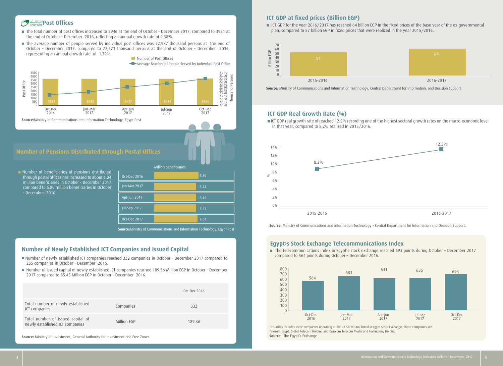## *FUNDER* Post Offices

- The total number of post offices increased to 3946 at the end of October December 2017, compared to 3931 at the end of October - December 2016, reflecting an annual growth rate of 0.38%.
- The average number of people served by individual post offices was 22,987 thousand persons at the end of October - December 2017, compared to 22,671 thousand persons at the end of October - December 2016, representing an annual growth rate of 1.39%.



#### **Number of Pensions Distributed through Postal Offices**

Number of beneficiaries of pensions distributed through postal offices has increased to about 6.04 million beneficiaries in October - December 2017 compared to 5.80 million beneficiaries in October - December 2016.

|              | <b>Million beneficiaries</b> |      |
|--------------|------------------------------|------|
| Oct-Dec 2016 |                              | 5.80 |
| Jan-Mar 2017 |                              | 5.32 |
| Apr-Jun 2017 |                              | 5.45 |
| Jul-Sep 2017 |                              | 5.53 |
| Oct-Dec 2017 |                              | 6.04 |

**Source:**Ministry of Communications and Information Technology, Egypt Post

### **Number of Newly Established ICT Companies and Issued Capital**

- Number of newly established ICT companies reached 332 companies in October December 2017 compared to 255 companies in October - December 2016.
- Number of issued capital of newly established ICT companies reached 189.36 Million EGP in October December 2017 compared to 85.45 Million EGP in October - December 2016.

|                                                                      |             | Oct-Dec 2016 |
|----------------------------------------------------------------------|-------------|--------------|
| Total number of newly established<br>ICT companies                   | Companies   | 332          |
| Total number of issued capital of<br>newly established ICT companies | Million EGP | 189.36       |

**Source:** Ministry of Investment, General Authority for Investment and Free Zones.

### **ICT GDP at fixed prices (Billion EGP)**

ICT GDP for the year 2016/2017 has reached 64 billion EGP in the fixed prices of the base year of the ex-governmental plan, compared to 57 billion EGP in fixed prices that were realized in the year 2015/2016.



### **ICT GDP Real Growth Rate (%)**

ICT GDP real growth rate of reached 12.5% recording one of the highest sectoral growth rates on the macro-economic level in that year, compared to 8.2% realized in 2015/2016.



**Source:** Ministry of Communications and information Technology – Central Department for Information and Decision Support.

### **Egypt›s Stock Exchange Telecommunications Index**

■ The telecommunications index in Egypt's stock exchange reached 693 points during October – December 2017 compared to 564 points during October – December 2016.



**Source:**: The Egypt's Exchange This index includes three companies operating in the ICT Sector and listed in Egypt Stock Exchange. These companies are: Telecom Egypt, Global Telecom Holding and Orascom Telecom Media and Technology Holding.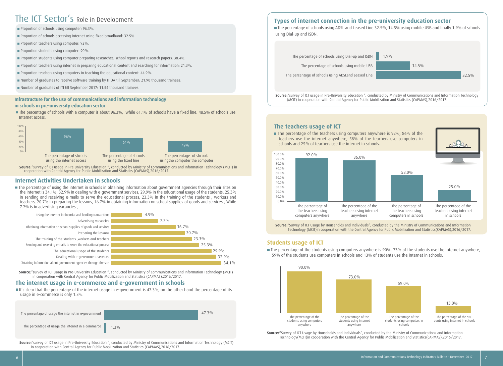## The ICT Sector's Role in Development

Proportion of schools using computer: 96.3%.

Proportion of schools accessing internet using fixed broadband: 32.5%.

**Proportion teachers using computer: 92%.** 

- Proportion students using computer: 90%.
- Proportion students using computer preparing researches, school reports and research papers: 38.4%.
- Proportion teachers using internet in preparing educational content and searching for information: 21.3%.
- **Proportion teachers using computers in teaching the educational content: 44.9%.**
- Number of graduates to receive software training by ITIDA till September: 21.90 thousand trainees.
- Number of graduates of ITI till September 2017: 11.54 thousand trainees.

#### **Infrastructure for the use of communications and information technology in schools in pre-university education sector**

The percentage of schools with a computer is about 96.3%, while 61.1% of schools have a fixed line. 48.5% of schools use Internet access.



**Source:**"survey of ICT usage in Pre University Education ", conducted by Ministry of Communications and Information Technology (MCIT) in cooperation with Central Agency for Public Mobilization and Statistics (CAPMAS),2016/2017.

### **Internet Activities Undertaken in schools**

The percentage of using the internet in schools in obtaining information about government agencies through their sites on the internet is 34.1%, 32.9% in dealing with e-government services, 29.9% in the educational usage of the students, 25.3% in sending and receiving e-mails to serve the educational process, 23.3% in the training of the students , workers and teachers, 20.7% in preparing the lessons, 16.7% in obtaining information on school supplies of goods and services , While 7.2% is in advertising vacancies ,



**Source:**"survey of ICT usage in Pre-University Education ", conducted by Ministry of Communications and Information Technology (MCIT) in cooperation with Central Agency for Public Mobilization and Statistics (CAPMAS),2016/2017.

#### **The internet usage in e-commerce and e-government in schools**

It's clear that the percentage of the internet usage in e-government is 47.3%, on the other hand the percentage of its usage in e-commerce is only 1.3%.



**Source:**"survey of ICT usage in Pre-University Education ", conducted by Ministry of Communications and Information Technology (MCIT) in cooperation with Central Agency for Public Mobilization and Statistics (CAPMAS),2016/2017.

### **Types of internet connection in the pre-university education sector**

 The percentage of schools using ADSL and Leased Line 32.5%, 14.5% using mobile USB and finally 1.9% of schools using Dial-up and ISDN.



**Source:**"survey of ICT usage in Pre-University Education ", conducted by Ministry of Communications and Information Technology (MCIT) in cooperation with Central Agency for Public Mobilization and Statistics (CAPMAS),2016/2017.

**The teachers usage of ICT** The percentage of the teachers using computers anywhere is 92%, 86% of the teachers use the internet anywhere, 58% of the teachers use computers in schools and 25% of teachers use the internet in schools. 0.0% 10.0% 20.0% 30.0% 40.0% 50.0% 60.0% 70.0% 80.0% 90.0% 100.0% 86.0% 92.0% 58.0% 25.0% The percentage of the teachers using computers anywhere The percentage of the teachers using internet anywhere The percentage of the teachers using computers in schools The percentage of the teachers using internet in schools

**Source:**"Survey of ICT Usage by Households and Individuals", conducted by the Ministry of Communications and Information Technology (MCIT)in cooperation with the Central Agency for Public Mobilization and Statistics(CAPMAS),2016/2017.

### **Students usage of ICT**

The percentage of the students using computers anywhere is 90%, 73% of the students use the internet anywhere, 59% of the students use computers in schools and 13% of students use the internet in schools.



**Source:"**Survey of ICT Usage by Households and Individuals", conducted by the Ministry of Communications and Information Technology(MCIT)in cooperation with the Central Agency for Public Mobilization and Statistics(CAPMAS),2016/2017.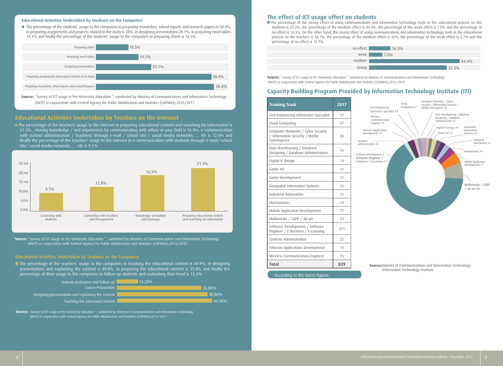#### **Educational Activities Undertaken by Students on the Computers**

The percentage of the students' usage to the computers in preparing researches, school reports and research papers is 38.4%, in preparing assignments and projects related to the study is 38%, in designing presentations 20.1%, in preparing excel tables 19.1% and finally the percentage of the students' usage to the computers in preparing charts is 18.3%.



**Source:**: "survey of ICT usage in Pre-University Education ", conducted by Ministry of Communications and Information Technology (MCIT) in cooperation with Central Agency for Public Mobilization and Statistics (CAPMAS),2016/2017.

### **Educational Activities Undertaken by Teachers on the Internet**

The percentage of the teachers' usage to the internet in preparing educational content and searching for information is 21.3% , sharing knowledge / and experiences by communicating with others in your field is 16.9%, e-communication with (school administration / teachers) through e-mail / school site / social media networks...... etc is 12.8% and finally the percentage of the teachers' usage to the internet in e-communication with students through e-mail/ school site/ social media networks...... etc is 9.1%



**\*Source:** "survey of ICT usage in Pre-University Education ", conducted by Ministry of Communications and Information Technology (MCIT) in cooperation with Central Agency for Public Mobilization and Statistics (CAPMAS),2016/2017.

#### **Educational Activities Undertaken by Teachers on the Computers**

The percentage of the teachers' usage to the computers in teaching the educational content is 44.9%, in designing presentations and explaining the content is 40.8%, in preparing the educational content is 35.8% and finally the percentage of their usage to the computers in follow-up students and evaluating their level is 13.2%.



**Source:**: "survey of ICT usage in Pre-University Education ", conducted by Ministry of Communications and Information Technology (MCIT) in cooperation with Central Agency for Public Mobilization and Statistics (CAPMAS),2016/2017.

#### **The effect of ICT usage effect on students**

The percentage of the strong effect of using communications and information technology tools in the educational process on the students is 32.3%, the percentage of the medium effect is 44.4%, the percentage of the weak effect is 7.0% and the percentage of no effect is 16.3%. On the other hand, the strong effect of using communications and information technology tools in the educational process on the teachers is 36.7%, the percentage of the medium effect is 42%, the percentage of the weak effect is 5.7% and the percentage of no effect is 15.7%.



**Source:**: "survey of ICT usage in Pre-University Education ", conducted by Ministry of Communications and Information Technology (MCIT) in cooperation with Central Agency for Public Mobilization and Statistics (CAPMAS),2016/2017.

### **Capacity Building Program Provided by Information Technology Institute (ITI)**

| <b>Training Track</b>                                                               | 2017 |
|-------------------------------------------------------------------------------------|------|
| Civil Engineering Informatics Specialist                                            | 17   |
| Cloud Computing                                                                     | 27   |
| Computer Networks / Cyber Security<br>/ Information Security / Media<br>Convergence | 36   |
| Data Warehousing / Database<br>Designing / Database Administration                  | 16   |
| Digital IC Design                                                                   | 14   |
| Game Art                                                                            | 12   |
| Game Development                                                                    | 12   |
| Geospatial Information Systems                                                      | 16   |
| Industrial Automation                                                               | 12   |
| Mechatronics                                                                        | 14   |
| Mobile Application Development                                                      | 77   |
| Multimedia / CGFP / 3D art                                                          | 54   |
| Software Development / Software<br>Engineer / E-Business / E-Learning               | 471  |
| Systems Administration                                                              | 22   |
| Telecom Applications Development                                                    | 14   |
| Wireless Communications Engineer                                                    | 15   |
| <b>Total</b>                                                                        | 829  |

\*According to the latest figures.



**Source:**Ministry of Communications and Information Technology-Information Technology Institute